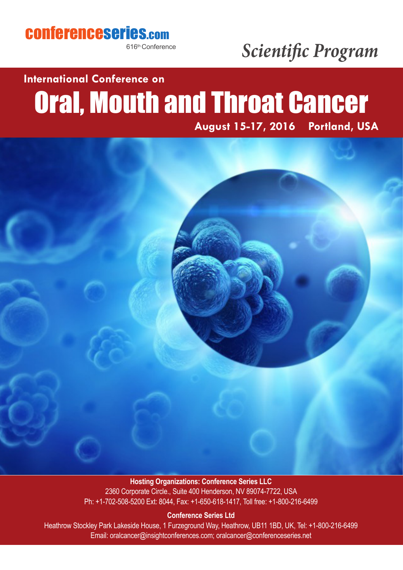### conferenceseries.com

616th Conference

## *Scientific Program*

## **International Conference on**

# Oral, Mouth and Throat Cancer



### **Hosting Organizations: Conference Series LLC**

2360 Corporate Circle., Suite 400 Henderson, NV 89074-7722, USA Ph: +1-702-508-5200 Ext: 8044, Fax: +1-650-618-1417, Toll free: +1-800-216-6499

#### **Conference Series Ltd**

Heathrow Stockley Park Lakeside House, 1 Furzeground Way, Heathrow, UB11 1BD, UK, Tel: +1-800-216-6499 Email: oralcancer@insightconferences.com; oralcancer@conferenceseries.net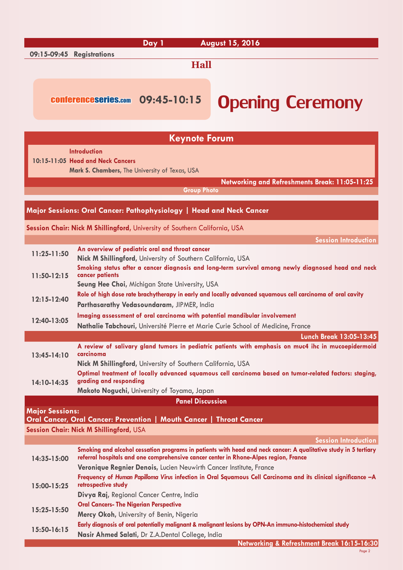|                                                                            | Day 1<br><b>August 15, 2016</b>                                                                                                                                                     |  |  |  |  |  |  |  |
|----------------------------------------------------------------------------|-------------------------------------------------------------------------------------------------------------------------------------------------------------------------------------|--|--|--|--|--|--|--|
| 09:15-09:45 Registrations                                                  |                                                                                                                                                                                     |  |  |  |  |  |  |  |
|                                                                            | <b>Hall</b>                                                                                                                                                                         |  |  |  |  |  |  |  |
|                                                                            |                                                                                                                                                                                     |  |  |  |  |  |  |  |
|                                                                            |                                                                                                                                                                                     |  |  |  |  |  |  |  |
|                                                                            | conferenceseries.com 09:45-10:15<br><b>Opening Ceremony</b>                                                                                                                         |  |  |  |  |  |  |  |
|                                                                            |                                                                                                                                                                                     |  |  |  |  |  |  |  |
|                                                                            |                                                                                                                                                                                     |  |  |  |  |  |  |  |
|                                                                            | <b>Keynote Forum</b>                                                                                                                                                                |  |  |  |  |  |  |  |
|                                                                            | <b>Introduction</b>                                                                                                                                                                 |  |  |  |  |  |  |  |
|                                                                            | 10:15-11:05 Head and Neck Cancers                                                                                                                                                   |  |  |  |  |  |  |  |
|                                                                            | Mark S. Chambers, The University of Texas, USA                                                                                                                                      |  |  |  |  |  |  |  |
|                                                                            | Networking and Refreshments Break: 11:05-11:25                                                                                                                                      |  |  |  |  |  |  |  |
|                                                                            | <b>Group Photo</b>                                                                                                                                                                  |  |  |  |  |  |  |  |
|                                                                            | Major Sessions: Oral Cancer: Pathophysiology   Head and Neck Cancer                                                                                                                 |  |  |  |  |  |  |  |
|                                                                            |                                                                                                                                                                                     |  |  |  |  |  |  |  |
|                                                                            | Session Chair: Nick M Shillingford, University of Southern California, USA                                                                                                          |  |  |  |  |  |  |  |
|                                                                            | <b>Session Introduction</b>                                                                                                                                                         |  |  |  |  |  |  |  |
| $11:25 - 11:50$                                                            | An overview of pediatric oral and throat cancer                                                                                                                                     |  |  |  |  |  |  |  |
|                                                                            | Nick M Shillingford, University of Southern California, USA                                                                                                                         |  |  |  |  |  |  |  |
|                                                                            | Smoking status after a cancer diagnosis and long-term survival among newly diagnosed head and neck                                                                                  |  |  |  |  |  |  |  |
| $11:50-12:15$                                                              | cancer patients<br>Seung Hee Choi, Michigan State University, USA                                                                                                                   |  |  |  |  |  |  |  |
|                                                                            | Role of high dose rate brachytherapy in early and locally advanced squamous cell carcinoma of oral cavity                                                                           |  |  |  |  |  |  |  |
| $12:15 - 12:40$                                                            | Parthasarathy Vedasoundaram, JIPMER, India                                                                                                                                          |  |  |  |  |  |  |  |
| Imaging assessment of oral carcinoma with potential mandibular involvement |                                                                                                                                                                                     |  |  |  |  |  |  |  |
| 12:40-13:05                                                                | Nathalie Tabchouri, Université Pierre et Marie Curie School of Medicine, France                                                                                                     |  |  |  |  |  |  |  |
|                                                                            | <b>Lunch Break 13:05-13:45</b>                                                                                                                                                      |  |  |  |  |  |  |  |
|                                                                            | A review of salivary gland tumors in pediatric patients with emphasis on muc4 ihc in mucoepidermoid                                                                                 |  |  |  |  |  |  |  |
| $13:45 - 14:10$                                                            | carcinoma                                                                                                                                                                           |  |  |  |  |  |  |  |
|                                                                            | Nick M Shillingford, University of Southern California, USA                                                                                                                         |  |  |  |  |  |  |  |
|                                                                            | Optimal treatment of locally advanced squamous cell carcinoma based on tumor-related factors: staging,<br>grading and responding                                                    |  |  |  |  |  |  |  |
| 14:10-14:35                                                                | Makoto Noguchi, University of Toyama, Japan                                                                                                                                         |  |  |  |  |  |  |  |
|                                                                            | <b>Panel Discussion</b>                                                                                                                                                             |  |  |  |  |  |  |  |
| <b>Major Sessions:</b>                                                     |                                                                                                                                                                                     |  |  |  |  |  |  |  |
|                                                                            | Oral Cancer, Oral Cancer: Prevention   Mouth Cancer   Throat Cancer                                                                                                                 |  |  |  |  |  |  |  |
|                                                                            | Session Chair: Nick M Shillingford, USA                                                                                                                                             |  |  |  |  |  |  |  |
|                                                                            | <b>Session Introduction</b>                                                                                                                                                         |  |  |  |  |  |  |  |
|                                                                            | Smoking and alcohol cessation programs in patients with head and neck cancer: A qualitative study in 5 tertiary                                                                     |  |  |  |  |  |  |  |
| 14:35-15:00                                                                | referral hospitals and one comprehensive cancer center in Rhone-Alpes region, France                                                                                                |  |  |  |  |  |  |  |
|                                                                            | Veronique Regnier Denois, Lucien Neuwirth Cancer Institute, France<br>Frequency of Human Papilloma Virus infection in Oral Squamous Cell Carcinoma and its clinical significance -A |  |  |  |  |  |  |  |
| 15:00-15:25                                                                | retrospective study                                                                                                                                                                 |  |  |  |  |  |  |  |
|                                                                            | Divya Raj, Regional Cancer Centre, India                                                                                                                                            |  |  |  |  |  |  |  |
|                                                                            | <b>Oral Cancers- The Nigerian Perspective</b>                                                                                                                                       |  |  |  |  |  |  |  |
| 15:25-15:50                                                                | Mercy Okoh, University of Benin, Nigeria                                                                                                                                            |  |  |  |  |  |  |  |
| 15:50-16:15                                                                | Early diagnosis of oral potentially malignant & malignant lesions by OPN-An immuno-histochemical study                                                                              |  |  |  |  |  |  |  |
|                                                                            | Nasir Ahmed Salati, Dr Z.A.Dental College, India                                                                                                                                    |  |  |  |  |  |  |  |

Page 2